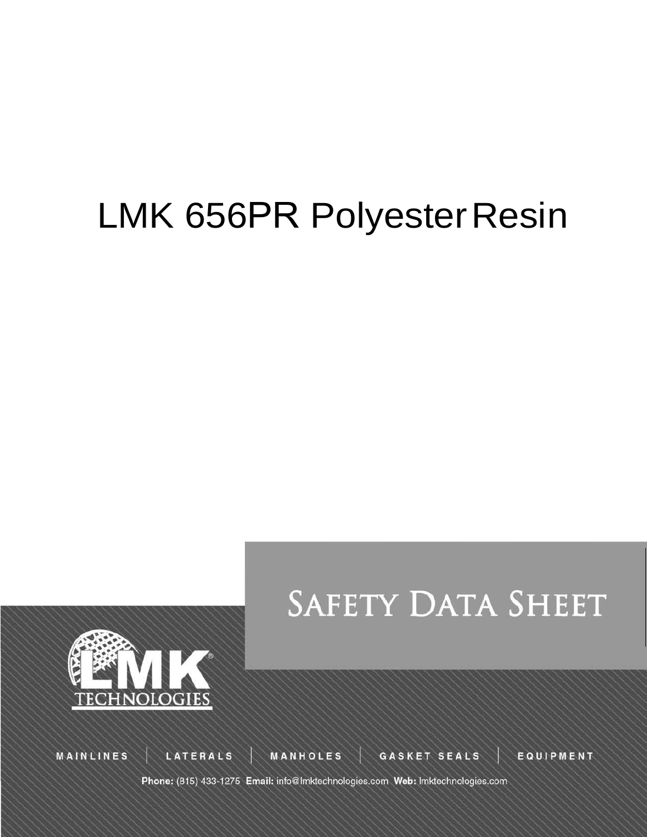# LMK 656PR Polyester Resin





MAINLINES

LATERALS

**MANHOLES** 

GASKET SEALS

EQUIPMENT

Phone: (815) 433-1275 Email: info@lmktechnologies.com Web: lmktechnologies.com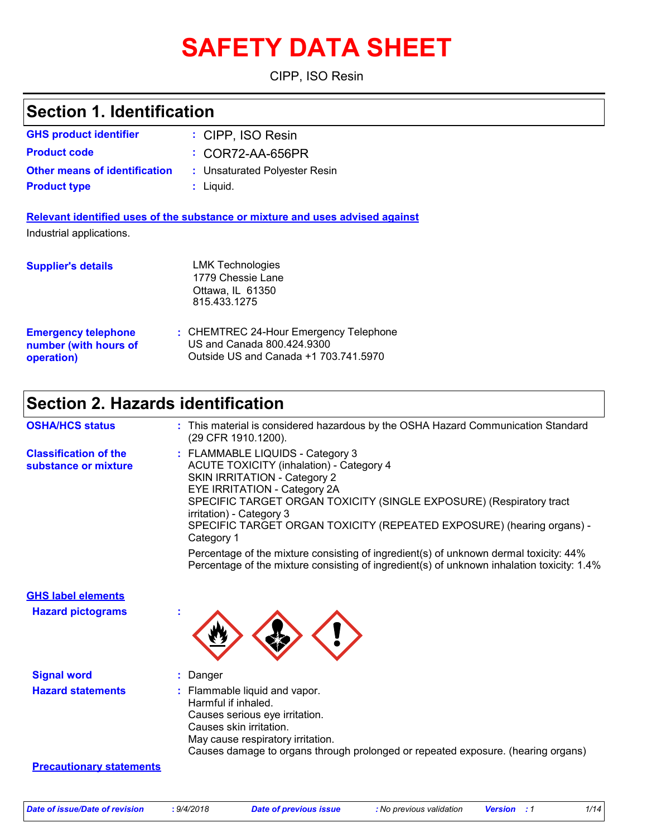# **SAFETY DATA SHEET**

CIPP, ISO Resin

| <b>Section 1. Identification</b>                                  |                                                                                                                                                                                                                                                                                                                                                                                                                                                                                                                                             |
|-------------------------------------------------------------------|---------------------------------------------------------------------------------------------------------------------------------------------------------------------------------------------------------------------------------------------------------------------------------------------------------------------------------------------------------------------------------------------------------------------------------------------------------------------------------------------------------------------------------------------|
| <b>GHS product identifier</b>                                     | : CIPP, ISO Resin                                                                                                                                                                                                                                                                                                                                                                                                                                                                                                                           |
| <b>Product code</b>                                               | : COR72-AA-656PR                                                                                                                                                                                                                                                                                                                                                                                                                                                                                                                            |
| <b>Other means of identification</b>                              | : Unsaturated Polyester Resin                                                                                                                                                                                                                                                                                                                                                                                                                                                                                                               |
| <b>Product type</b>                                               | $:$ Liquid.                                                                                                                                                                                                                                                                                                                                                                                                                                                                                                                                 |
| Industrial applications.                                          | Relevant identified uses of the substance or mixture and uses advised against                                                                                                                                                                                                                                                                                                                                                                                                                                                               |
| <b>Supplier's details</b>                                         | <b>LMK Technologies</b><br>1779 Chessie Lane<br>Ottawa, IL 61350<br>815.433.1275                                                                                                                                                                                                                                                                                                                                                                                                                                                            |
| <b>Emergency telephone</b><br>number (with hours of<br>operation) | : CHEMTREC 24-Hour Emergency Telephone<br>US and Canada 800.424.9300<br>Outside US and Canada +1 703.741.5970                                                                                                                                                                                                                                                                                                                                                                                                                               |
| <b>Section 2. Hazards identification</b>                          |                                                                                                                                                                                                                                                                                                                                                                                                                                                                                                                                             |
| <b>OSHA/HCS status</b>                                            | : This material is considered hazardous by the OSHA Hazard Communication Standard<br>(29 CFR 1910.1200).                                                                                                                                                                                                                                                                                                                                                                                                                                    |
| <b>Classification of the</b><br>substance or mixture              | : FLAMMABLE LIQUIDS - Category 3<br><b>ACUTE TOXICITY (inhalation) - Category 4</b><br><b>SKIN IRRITATION - Category 2</b><br>EYE IRRITATION - Category 2A<br>SPECIFIC TARGET ORGAN TOXICITY (SINGLE EXPOSURE) (Respiratory tract<br>irritation) - Category 3<br>SPECIFIC TARGET ORGAN TOXICITY (REPEATED EXPOSURE) (hearing organs) -<br>Category 1<br>Percentage of the mixture consisting of ingredient(s) of unknown dermal toxicity: 44%<br>Percentage of the mixture consisting of ingredient(s) of unknown inhalation toxicity: 1.4% |
| <b>GHS label elements</b>                                         |                                                                                                                                                                                                                                                                                                                                                                                                                                                                                                                                             |
| <b>Hazard pictograms</b>                                          |                                                                                                                                                                                                                                                                                                                                                                                                                                                                                                                                             |
| <b>Signal word</b>                                                | Danger                                                                                                                                                                                                                                                                                                                                                                                                                                                                                                                                      |
| <b>Hazard statements</b>                                          | : Flammable liquid and vapor.<br>Harmful if inhaled.<br>Causes serious eye irritation.<br>Causes skin irritation.<br>May cause respiratory irritation.<br>Causes damage to organs through prolonged or repeated exposure. (hearing organs)                                                                                                                                                                                                                                                                                                  |
| <b>Precautionary statements</b>                                   |                                                                                                                                                                                                                                                                                                                                                                                                                                                                                                                                             |
|                                                                   |                                                                                                                                                                                                                                                                                                                                                                                                                                                                                                                                             |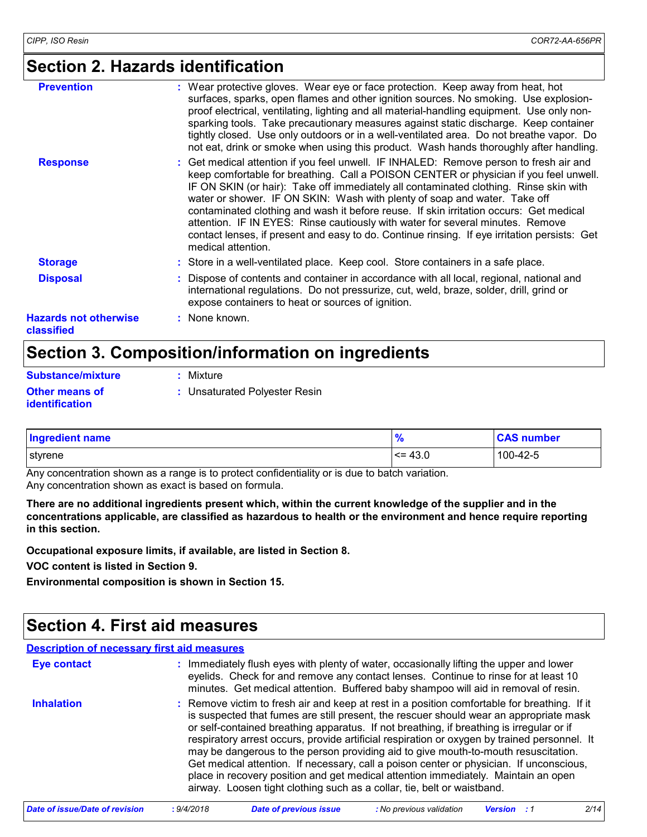# **Section 2. Hazards identification**

| <b>Prevention</b>                          | : Wear protective gloves. Wear eye or face protection. Keep away from heat, hot<br>surfaces, sparks, open flames and other ignition sources. No smoking. Use explosion-<br>proof electrical, ventilating, lighting and all material-handling equipment. Use only non-<br>sparking tools. Take precautionary measures against static discharge. Keep container<br>tightly closed. Use only outdoors or in a well-ventilated area. Do not breathe vapor. Do<br>not eat, drink or smoke when using this product. Wash hands thoroughly after handling.                                                                                                     |
|--------------------------------------------|---------------------------------------------------------------------------------------------------------------------------------------------------------------------------------------------------------------------------------------------------------------------------------------------------------------------------------------------------------------------------------------------------------------------------------------------------------------------------------------------------------------------------------------------------------------------------------------------------------------------------------------------------------|
| <b>Response</b>                            | : Get medical attention if you feel unwell. IF INHALED: Remove person to fresh air and<br>keep comfortable for breathing. Call a POISON CENTER or physician if you feel unwell.<br>IF ON SKIN (or hair): Take off immediately all contaminated clothing. Rinse skin with<br>water or shower. IF ON SKIN: Wash with plenty of soap and water. Take off<br>contaminated clothing and wash it before reuse. If skin irritation occurs: Get medical<br>attention. IF IN EYES: Rinse cautiously with water for several minutes. Remove<br>contact lenses, if present and easy to do. Continue rinsing. If eye irritation persists: Get<br>medical attention. |
| <b>Storage</b>                             | : Store in a well-ventilated place. Keep cool. Store containers in a safe place.                                                                                                                                                                                                                                                                                                                                                                                                                                                                                                                                                                        |
| <b>Disposal</b>                            | : Dispose of contents and container in accordance with all local, regional, national and<br>international regulations. Do not pressurize, cut, weld, braze, solder, drill, grind or<br>expose containers to heat or sources of ignition.                                                                                                                                                                                                                                                                                                                                                                                                                |
| <b>Hazards not otherwise</b><br>classified | : None known.                                                                                                                                                                                                                                                                                                                                                                                                                                                                                                                                                                                                                                           |

# **Section 3. Composition/information on ingredients**

| <b>Substance/mixture</b>                       | : Mixture                     |
|------------------------------------------------|-------------------------------|
| <b>Other means of</b><br><i>identification</i> | : Unsaturated Polyester Resin |

| <b>Ingredient name</b> | %        | <b>CAS number</b> |
|------------------------|----------|-------------------|
| styrene                | $= 43.0$ | 100-42-5          |

Any concentration shown as a range is to protect confidentiality or is due to batch variation. Any concentration shown as exact is based on formula.

**There are no additional ingredients present which, within the current knowledge of the supplier and in the concentrations applicable, are classified as hazardous to health or the environment and hence require reporting in this section.**

**Occupational exposure limits, if available, are listed in Section 8.**

**VOC content is listed in Section 9.**

**Environmental composition is shown in Section 15.**

# **Section 4. First aid measures**

| <b>Description of necessary first aid measures</b> |                                                                                                                                                                                                                                                                                                                                                                                                                                                                                                                                                                                                                                                                                                                                      |
|----------------------------------------------------|--------------------------------------------------------------------------------------------------------------------------------------------------------------------------------------------------------------------------------------------------------------------------------------------------------------------------------------------------------------------------------------------------------------------------------------------------------------------------------------------------------------------------------------------------------------------------------------------------------------------------------------------------------------------------------------------------------------------------------------|
| <b>Eye contact</b>                                 | : Immediately flush eyes with plenty of water, occasionally lifting the upper and lower<br>eyelids. Check for and remove any contact lenses. Continue to rinse for at least 10<br>minutes. Get medical attention. Buffered baby shampoo will aid in removal of resin.                                                                                                                                                                                                                                                                                                                                                                                                                                                                |
| <b>Inhalation</b>                                  | : Remove victim to fresh air and keep at rest in a position comfortable for breathing. If it<br>is suspected that fumes are still present, the rescuer should wear an appropriate mask<br>or self-contained breathing apparatus. If not breathing, if breathing is irregular or if<br>respiratory arrest occurs, provide artificial respiration or oxygen by trained personnel. It<br>may be dangerous to the person providing aid to give mouth-to-mouth resuscitation.<br>Get medical attention. If necessary, call a poison center or physician. If unconscious,<br>place in recovery position and get medical attention immediately. Maintain an open<br>airway. Loosen tight clothing such as a collar, tie, belt or waistband. |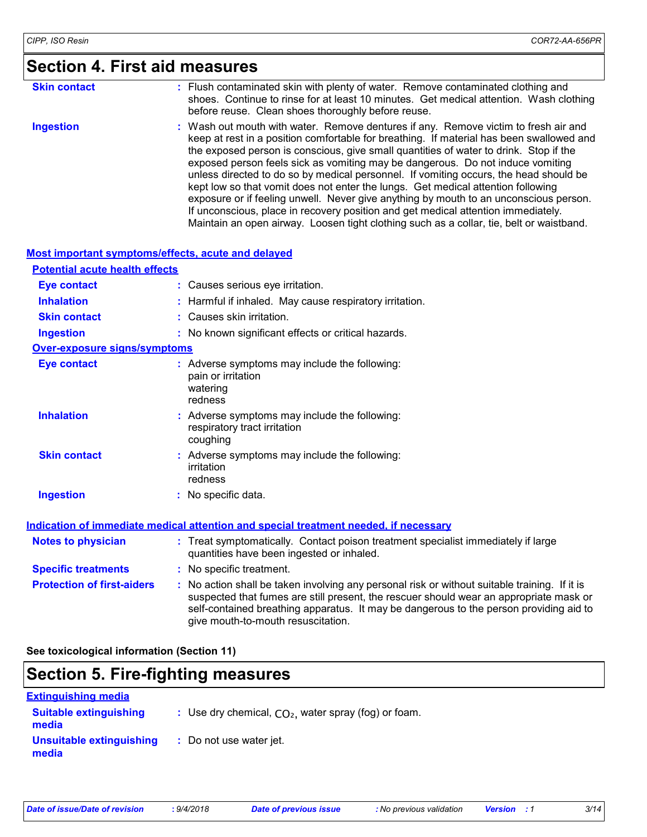# **Section 4. First aid measures**

| <b>Skin contact</b> | : Flush contaminated skin with plenty of water. Remove contaminated clothing and<br>shoes. Continue to rinse for at least 10 minutes. Get medical attention. Wash clothing                                                                                                                                                                                                                                                                                                                                                                                                                                                                                                                                                                                                                                        |
|---------------------|-------------------------------------------------------------------------------------------------------------------------------------------------------------------------------------------------------------------------------------------------------------------------------------------------------------------------------------------------------------------------------------------------------------------------------------------------------------------------------------------------------------------------------------------------------------------------------------------------------------------------------------------------------------------------------------------------------------------------------------------------------------------------------------------------------------------|
|                     | before reuse. Clean shoes thoroughly before reuse.                                                                                                                                                                                                                                                                                                                                                                                                                                                                                                                                                                                                                                                                                                                                                                |
| <b>Ingestion</b>    | : Wash out mouth with water. Remove dentures if any. Remove victim to fresh air and<br>keep at rest in a position comfortable for breathing. If material has been swallowed and<br>the exposed person is conscious, give small quantities of water to drink. Stop if the<br>exposed person feels sick as vomiting may be dangerous. Do not induce vomiting<br>unless directed to do so by medical personnel. If vomiting occurs, the head should be<br>kept low so that vomit does not enter the lungs. Get medical attention following<br>exposure or if feeling unwell. Never give anything by mouth to an unconscious person.<br>If unconscious, place in recovery position and get medical attention immediately.<br>Maintain an open airway. Loosen tight clothing such as a collar, tie, belt or waistband. |

#### **Most important symptoms/effects, acute and delayed**

| <b>Potential acute health effects</b> |                                                                                                                                                                                                                                                                                                                         |
|---------------------------------------|-------------------------------------------------------------------------------------------------------------------------------------------------------------------------------------------------------------------------------------------------------------------------------------------------------------------------|
| <b>Eye contact</b>                    | : Causes serious eye irritation.                                                                                                                                                                                                                                                                                        |
| <b>Inhalation</b>                     | : Harmful if inhaled. May cause respiratory irritation.                                                                                                                                                                                                                                                                 |
| <b>Skin contact</b>                   | : Causes skin irritation.                                                                                                                                                                                                                                                                                               |
| <b>Ingestion</b>                      | : No known significant effects or critical hazards.                                                                                                                                                                                                                                                                     |
| <b>Over-exposure signs/symptoms</b>   |                                                                                                                                                                                                                                                                                                                         |
| <b>Eye contact</b>                    | : Adverse symptoms may include the following:<br>pain or irritation<br>watering<br>redness                                                                                                                                                                                                                              |
| <b>Inhalation</b>                     | : Adverse symptoms may include the following:<br>respiratory tract irritation<br>coughing                                                                                                                                                                                                                               |
| <b>Skin contact</b>                   | : Adverse symptoms may include the following:<br>irritation<br>redness                                                                                                                                                                                                                                                  |
| <b>Ingestion</b>                      | : No specific data.                                                                                                                                                                                                                                                                                                     |
|                                       | <u>Indication of immediate medical attention and special treatment needed, if necessary</u>                                                                                                                                                                                                                             |
| <b>Notes to physician</b>             | : Treat symptomatically. Contact poison treatment specialist immediately if large<br>quantities have been ingested or inhaled.                                                                                                                                                                                          |
| <b>Specific treatments</b>            | : No specific treatment.                                                                                                                                                                                                                                                                                                |
| <b>Protection of first-aiders</b>     | : No action shall be taken involving any personal risk or without suitable training. If it is<br>suspected that fumes are still present, the rescuer should wear an appropriate mask or<br>self-contained breathing apparatus. It may be dangerous to the person providing aid to<br>give mouth-to-mouth resuscitation. |

**See toxicological information (Section 11)**

### **Section 5. Fire-fighting measures**

| <b>Extinguishing media</b>             |                                                        |
|----------------------------------------|--------------------------------------------------------|
| <b>Suitable extinguishing</b><br>media | : Use dry chemical, $CO2$ , water spray (fog) or foam. |
| Unsuitable extinguishing<br>media      | : Do not use water jet.                                |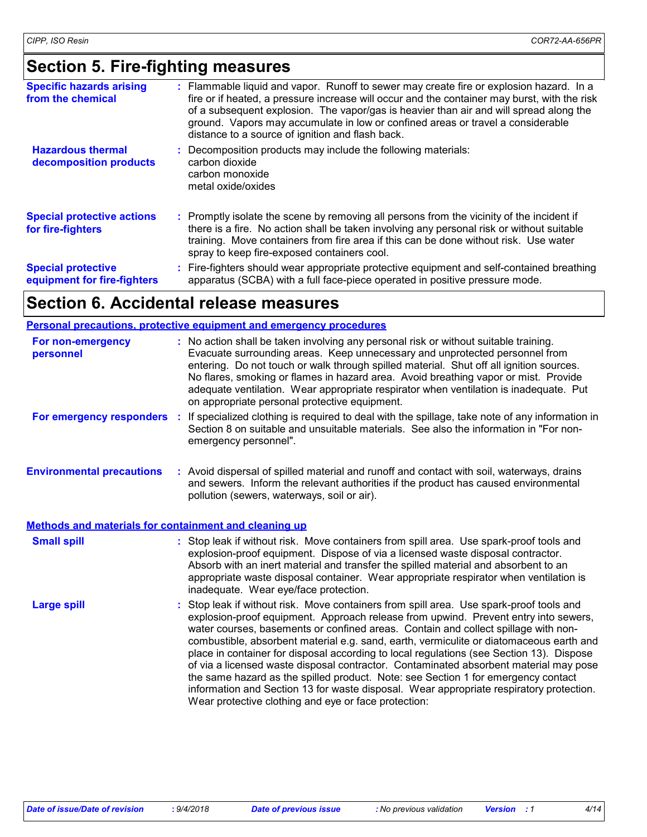# **Section 5. Fire-fighting measures**

| <b>Specific hazards arising</b><br>from the chemical     | Flammable liquid and vapor. Runoff to sewer may create fire or explosion hazard. In a<br>fire or if heated, a pressure increase will occur and the container may burst, with the risk<br>of a subsequent explosion. The vapor/gas is heavier than air and will spread along the<br>ground. Vapors may accumulate in low or confined areas or travel a considerable<br>distance to a source of ignition and flash back. |
|----------------------------------------------------------|------------------------------------------------------------------------------------------------------------------------------------------------------------------------------------------------------------------------------------------------------------------------------------------------------------------------------------------------------------------------------------------------------------------------|
| <b>Hazardous thermal</b><br>decomposition products       | Decomposition products may include the following materials:<br>carbon dioxide<br>carbon monoxide<br>metal oxide/oxides                                                                                                                                                                                                                                                                                                 |
| <b>Special protective actions</b><br>for fire-fighters   | Promptly isolate the scene by removing all persons from the vicinity of the incident if<br>there is a fire. No action shall be taken involving any personal risk or without suitable<br>training. Move containers from fire area if this can be done without risk. Use water<br>spray to keep fire-exposed containers cool.                                                                                            |
| <b>Special protective</b><br>equipment for fire-fighters | Fire-fighters should wear appropriate protective equipment and self-contained breathing<br>apparatus (SCBA) with a full face-piece operated in positive pressure mode.                                                                                                                                                                                                                                                 |

### **Section 6. Accidental release measures**

#### **Personal precautions, protective equipment and emergency procedures**

| For non-emergency<br>personnel                        | : No action shall be taken involving any personal risk or without suitable training.<br>Evacuate surrounding areas. Keep unnecessary and unprotected personnel from<br>entering. Do not touch or walk through spilled material. Shut off all ignition sources.<br>No flares, smoking or flames in hazard area. Avoid breathing vapor or mist. Provide<br>adequate ventilation. Wear appropriate respirator when ventilation is inadequate. Put<br>on appropriate personal protective equipment.                                                                                                                                                                                                                                                                                              |
|-------------------------------------------------------|----------------------------------------------------------------------------------------------------------------------------------------------------------------------------------------------------------------------------------------------------------------------------------------------------------------------------------------------------------------------------------------------------------------------------------------------------------------------------------------------------------------------------------------------------------------------------------------------------------------------------------------------------------------------------------------------------------------------------------------------------------------------------------------------|
| For emergency responders :                            | If specialized clothing is required to deal with the spillage, take note of any information in<br>Section 8 on suitable and unsuitable materials. See also the information in "For non-<br>emergency personnel".                                                                                                                                                                                                                                                                                                                                                                                                                                                                                                                                                                             |
| <b>Environmental precautions</b>                      | : Avoid dispersal of spilled material and runoff and contact with soil, waterways, drains<br>and sewers. Inform the relevant authorities if the product has caused environmental<br>pollution (sewers, waterways, soil or air).                                                                                                                                                                                                                                                                                                                                                                                                                                                                                                                                                              |
| Methods and materials for containment and cleaning up |                                                                                                                                                                                                                                                                                                                                                                                                                                                                                                                                                                                                                                                                                                                                                                                              |
| <b>Small spill</b>                                    | : Stop leak if without risk. Move containers from spill area. Use spark-proof tools and<br>explosion-proof equipment. Dispose of via a licensed waste disposal contractor.<br>Absorb with an inert material and transfer the spilled material and absorbent to an<br>appropriate waste disposal container. Wear appropriate respirator when ventilation is<br>inadequate. Wear eye/face protection.                                                                                                                                                                                                                                                                                                                                                                                          |
| <b>Large spill</b>                                    | : Stop leak if without risk. Move containers from spill area. Use spark-proof tools and<br>explosion-proof equipment. Approach release from upwind. Prevent entry into sewers,<br>water courses, basements or confined areas. Contain and collect spillage with non-<br>combustible, absorbent material e.g. sand, earth, vermiculite or diatomaceous earth and<br>place in container for disposal according to local regulations (see Section 13). Dispose<br>of via a licensed waste disposal contractor. Contaminated absorbent material may pose<br>the same hazard as the spilled product. Note: see Section 1 for emergency contact<br>information and Section 13 for waste disposal. Wear appropriate respiratory protection.<br>Wear protective clothing and eye or face protection: |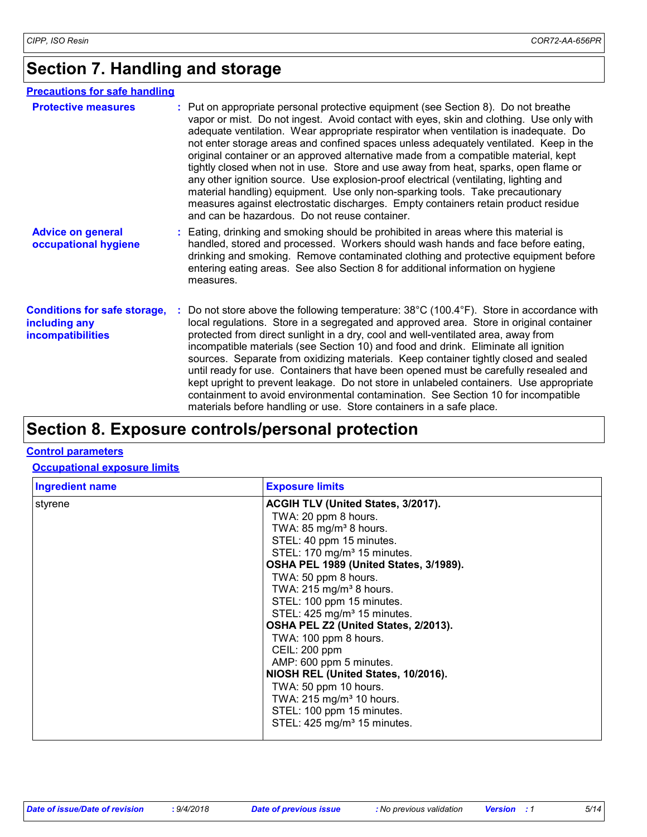# **Section 7. Handling and storage**

#### **Precautions for safe handling**

| <b>Protective measures</b>                                                       | : Put on appropriate personal protective equipment (see Section 8). Do not breathe<br>vapor or mist. Do not ingest. Avoid contact with eyes, skin and clothing. Use only with<br>adequate ventilation. Wear appropriate respirator when ventilation is inadequate. Do<br>not enter storage areas and confined spaces unless adequately ventilated. Keep in the<br>original container or an approved alternative made from a compatible material, kept<br>tightly closed when not in use. Store and use away from heat, sparks, open flame or<br>any other ignition source. Use explosion-proof electrical (ventilating, lighting and<br>material handling) equipment. Use only non-sparking tools. Take precautionary<br>measures against electrostatic discharges. Empty containers retain product residue<br>and can be hazardous. Do not reuse container. |
|----------------------------------------------------------------------------------|--------------------------------------------------------------------------------------------------------------------------------------------------------------------------------------------------------------------------------------------------------------------------------------------------------------------------------------------------------------------------------------------------------------------------------------------------------------------------------------------------------------------------------------------------------------------------------------------------------------------------------------------------------------------------------------------------------------------------------------------------------------------------------------------------------------------------------------------------------------|
| <b>Advice on general</b><br>occupational hygiene                                 | : Eating, drinking and smoking should be prohibited in areas where this material is<br>handled, stored and processed. Workers should wash hands and face before eating,<br>drinking and smoking. Remove contaminated clothing and protective equipment before<br>entering eating areas. See also Section 8 for additional information on hygiene<br>measures.                                                                                                                                                                                                                                                                                                                                                                                                                                                                                                |
| <b>Conditions for safe storage,</b><br>including any<br><b>incompatibilities</b> | : Do not store above the following temperature: $38^{\circ}$ C (100.4 $^{\circ}$ F). Store in accordance with<br>local regulations. Store in a segregated and approved area. Store in original container<br>protected from direct sunlight in a dry, cool and well-ventilated area, away from<br>incompatible materials (see Section 10) and food and drink. Eliminate all ignition<br>sources. Separate from oxidizing materials. Keep container tightly closed and sealed<br>until ready for use. Containers that have been opened must be carefully resealed and<br>kept upright to prevent leakage. Do not store in unlabeled containers. Use appropriate<br>containment to avoid environmental contamination. See Section 10 for incompatible<br>materials before handling or use. Store containers in a safe place.                                    |

# **Section 8. Exposure controls/personal protection**

#### **Control parameters**

#### **Occupational exposure limits**

| <b>Ingredient name</b> | <b>Exposure limits</b>                                                                                                                                                                                                                                                                                                                                                                                                                                                                                                                                                          |
|------------------------|---------------------------------------------------------------------------------------------------------------------------------------------------------------------------------------------------------------------------------------------------------------------------------------------------------------------------------------------------------------------------------------------------------------------------------------------------------------------------------------------------------------------------------------------------------------------------------|
| styrene                | ACGIH TLV (United States, 3/2017).<br>TWA: 20 ppm 8 hours.<br>TWA: 85 mg/m <sup>3</sup> 8 hours.<br>STEL: 40 ppm 15 minutes.<br>STEL: 170 mg/m <sup>3</sup> 15 minutes.<br>OSHA PEL 1989 (United States, 3/1989).<br>TWA: 50 ppm 8 hours.<br>TWA: $215$ mg/m <sup>3</sup> 8 hours.<br>STEL: 100 ppm 15 minutes.<br>STEL: 425 mg/m <sup>3</sup> 15 minutes.<br>OSHA PEL Z2 (United States, 2/2013).<br>TWA: 100 ppm 8 hours.<br>CEIL: 200 ppm<br>AMP: 600 ppm 5 minutes.<br>NIOSH REL (United States, 10/2016).<br>TWA: 50 ppm 10 hours.<br>TWA: 215 mg/m <sup>3</sup> 10 hours. |
|                        | STEL: 100 ppm 15 minutes.<br>STEL: 425 mg/m <sup>3</sup> 15 minutes.                                                                                                                                                                                                                                                                                                                                                                                                                                                                                                            |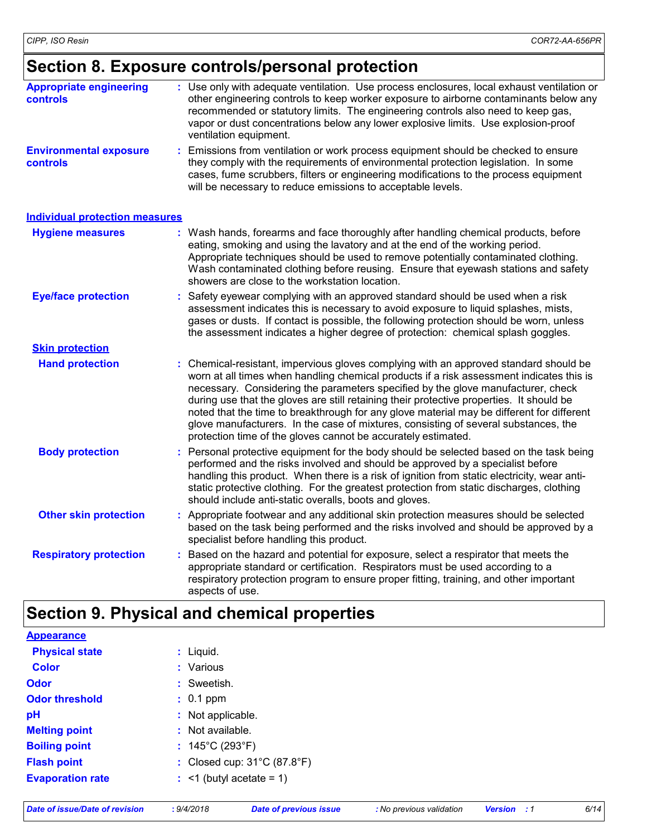# **Section 8. Exposure controls/personal protection**

| <b>Appropriate engineering</b><br><b>controls</b> | Use only with adequate ventilation. Use process enclosures, local exhaust ventilation or<br>other engineering controls to keep worker exposure to airborne contaminants below any<br>recommended or statutory limits. The engineering controls also need to keep gas,<br>vapor or dust concentrations below any lower explosive limits. Use explosion-proof<br>ventilation equipment. |
|---------------------------------------------------|---------------------------------------------------------------------------------------------------------------------------------------------------------------------------------------------------------------------------------------------------------------------------------------------------------------------------------------------------------------------------------------|
| <b>Environmental exposure</b><br><b>controls</b>  | Emissions from ventilation or work process equipment should be checked to ensure<br>they comply with the requirements of environmental protection legislation. In some<br>cases, fume scrubbers, filters or engineering modifications to the process equipment<br>will be necessary to reduce emissions to acceptable levels.                                                         |
| <b>Individual protection measures</b>             |                                                                                                                                                                                                                                                                                                                                                                                       |

| <b>Hygiene measures</b>       | : Wash hands, forearms and face thoroughly after handling chemical products, before<br>eating, smoking and using the lavatory and at the end of the working period.<br>Appropriate techniques should be used to remove potentially contaminated clothing.<br>Wash contaminated clothing before reusing. Ensure that eyewash stations and safety<br>showers are close to the workstation location.                                                                                                                                                                                                                      |
|-------------------------------|------------------------------------------------------------------------------------------------------------------------------------------------------------------------------------------------------------------------------------------------------------------------------------------------------------------------------------------------------------------------------------------------------------------------------------------------------------------------------------------------------------------------------------------------------------------------------------------------------------------------|
| <b>Eye/face protection</b>    | : Safety eyewear complying with an approved standard should be used when a risk<br>assessment indicates this is necessary to avoid exposure to liquid splashes, mists,<br>gases or dusts. If contact is possible, the following protection should be worn, unless<br>the assessment indicates a higher degree of protection: chemical splash goggles.                                                                                                                                                                                                                                                                  |
| <b>Skin protection</b>        |                                                                                                                                                                                                                                                                                                                                                                                                                                                                                                                                                                                                                        |
| <b>Hand protection</b>        | : Chemical-resistant, impervious gloves complying with an approved standard should be<br>worn at all times when handling chemical products if a risk assessment indicates this is<br>necessary. Considering the parameters specified by the glove manufacturer, check<br>during use that the gloves are still retaining their protective properties. It should be<br>noted that the time to breakthrough for any glove material may be different for different<br>glove manufacturers. In the case of mixtures, consisting of several substances, the<br>protection time of the gloves cannot be accurately estimated. |
| <b>Body protection</b>        | : Personal protective equipment for the body should be selected based on the task being<br>performed and the risks involved and should be approved by a specialist before<br>handling this product. When there is a risk of ignition from static electricity, wear anti-<br>static protective clothing. For the greatest protection from static discharges, clothing<br>should include anti-static overalls, boots and gloves.                                                                                                                                                                                         |
| <b>Other skin protection</b>  | : Appropriate footwear and any additional skin protection measures should be selected<br>based on the task being performed and the risks involved and should be approved by a<br>specialist before handling this product.                                                                                                                                                                                                                                                                                                                                                                                              |
| <b>Respiratory protection</b> | : Based on the hazard and potential for exposure, select a respirator that meets the<br>appropriate standard or certification. Respirators must be used according to a<br>respiratory protection program to ensure proper fitting, training, and other important<br>aspects of use.                                                                                                                                                                                                                                                                                                                                    |

# **Section 9. Physical and chemical properties**

| <b>Appearance</b>       |                                                  |
|-------------------------|--------------------------------------------------|
| <b>Physical state</b>   | $:$ Liquid.                                      |
| <b>Color</b>            | : Various                                        |
| <b>Odor</b>             | : Sweetish.                                      |
| <b>Odor threshold</b>   | $: 0.1$ ppm                                      |
| pH                      | : Not applicable.                                |
| <b>Melting point</b>    | : Not available.                                 |
| <b>Boiling point</b>    | : $145^{\circ}$ C (293 $^{\circ}$ F)             |
| <b>Flash point</b>      | : Closed cup: $31^{\circ}$ C (87.8 $^{\circ}$ F) |
| <b>Evaporation rate</b> | $:$ <1 (butyl acetate = 1)                       |
|                         |                                                  |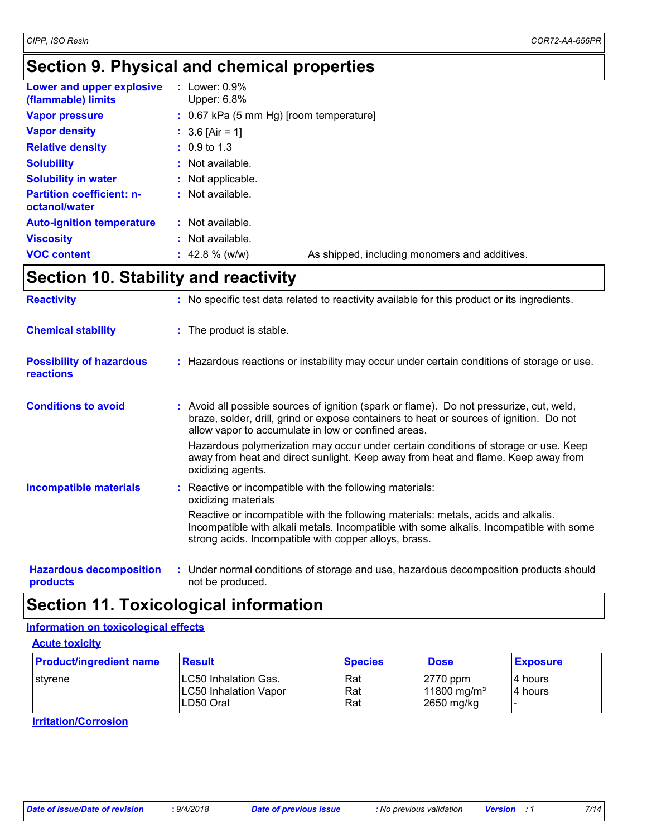# **Section 9. Physical and chemical properties**

| Lower and upper explosive<br>(flammable) limits   | $:$ Lower: 0.9%<br>Upper: $6.8\%$                                  |  |  |  |  |
|---------------------------------------------------|--------------------------------------------------------------------|--|--|--|--|
| <b>Vapor pressure</b>                             | $: 0.67$ kPa (5 mm Hg) [room temperature]                          |  |  |  |  |
| <b>Vapor density</b>                              | : $3.6$ [Air = 1]                                                  |  |  |  |  |
| <b>Relative density</b>                           | $: 0.9 \text{ to } 1.3$                                            |  |  |  |  |
| <b>Solubility</b>                                 | $:$ Not available.                                                 |  |  |  |  |
| <b>Solubility in water</b>                        | : Not applicable.                                                  |  |  |  |  |
| <b>Partition coefficient: n-</b><br>octanol/water | $:$ Not available.                                                 |  |  |  |  |
| <b>Auto-ignition temperature</b>                  | : Not available.                                                   |  |  |  |  |
| <b>Viscosity</b>                                  | : Not available.                                                   |  |  |  |  |
| <b>VOC content</b>                                | As shipped, including monomers and additives.<br>$: 42.8 \%$ (w/w) |  |  |  |  |

# **Section 10. Stability and reactivity**

| <b>Reactivity</b>                                   | : No specific test data related to reactivity available for this product or its ingredients.                                                                                                                                                                                                                                                                                                                                                |
|-----------------------------------------------------|---------------------------------------------------------------------------------------------------------------------------------------------------------------------------------------------------------------------------------------------------------------------------------------------------------------------------------------------------------------------------------------------------------------------------------------------|
| <b>Chemical stability</b>                           | : The product is stable.                                                                                                                                                                                                                                                                                                                                                                                                                    |
| <b>Possibility of hazardous</b><br><b>reactions</b> | : Hazardous reactions or instability may occur under certain conditions of storage or use.                                                                                                                                                                                                                                                                                                                                                  |
| <b>Conditions to avoid</b>                          | : Avoid all possible sources of ignition (spark or flame). Do not pressurize, cut, weld,<br>braze, solder, drill, grind or expose containers to heat or sources of ignition. Do not<br>allow vapor to accumulate in low or confined areas.<br>Hazardous polymerization may occur under certain conditions of storage or use. Keep<br>away from heat and direct sunlight. Keep away from heat and flame. Keep away from<br>oxidizing agents. |
| <b>Incompatible materials</b>                       | : Reactive or incompatible with the following materials:<br>oxidizing materials<br>Reactive or incompatible with the following materials: metals, acids and alkalis.<br>Incompatible with alkali metals. Incompatible with some alkalis. Incompatible with some<br>strong acids. Incompatible with copper alloys, brass.                                                                                                                    |
| <b>Hazardous decomposition</b><br>products          | : Under normal conditions of storage and use, hazardous decomposition products should<br>not be produced.                                                                                                                                                                                                                                                                                                                                   |

### **Section 11. Toxicological information**

#### **Information on toxicological effects**

**Acute toxicity**

| <b>Product/ingredient name</b> | <b>Result</b>                                                     | <b>Species</b>    | <b>Dose</b>                                          | <b>Exposure</b>      |
|--------------------------------|-------------------------------------------------------------------|-------------------|------------------------------------------------------|----------------------|
| l stvrene                      | LC50 Inhalation Gas.<br><b>LC50 Inhalation Vapor</b><br>LD50 Oral | Rat<br>Rat<br>Rat | $ 2770$ ppm<br>11800 mg/m <sup>3</sup><br>2650 mg/kg | 14 hours<br>14 hours |

**Irritation/Corrosion**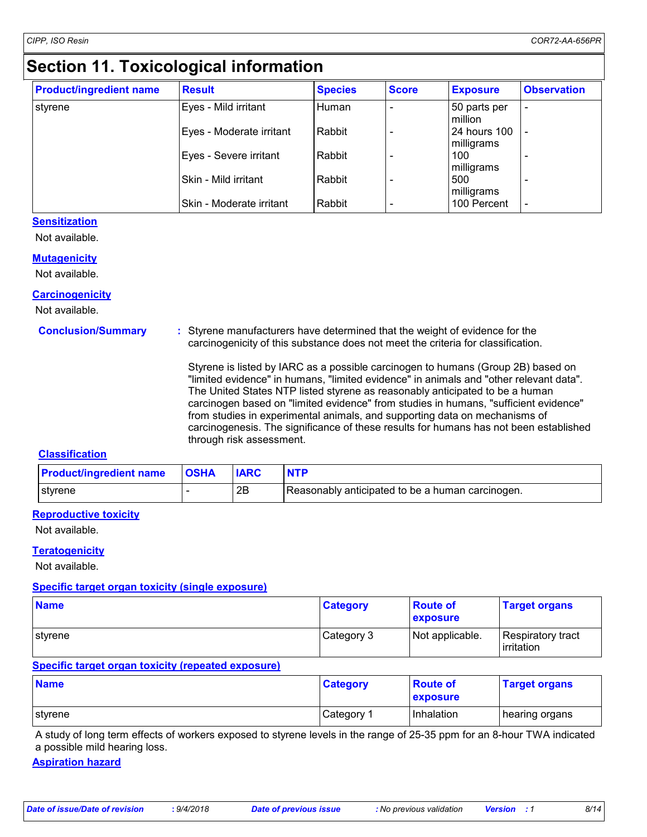# **Section 11. Toxicological information**

| <b>Product/ingredient name</b> | <b>Result</b>            | <b>Species</b> | <b>Score</b> | <b>Exposure</b>                   | <b>Observation</b>       |
|--------------------------------|--------------------------|----------------|--------------|-----------------------------------|--------------------------|
| styrene                        | Eyes - Mild irritant     | Human          |              | 50 parts per<br>million           |                          |
|                                | Eyes - Moderate irritant | Rabbit         |              | <b>24 hours 100</b><br>milligrams |                          |
|                                | Eyes - Severe irritant   | Rabbit         |              | 100<br>milligrams                 |                          |
|                                | Skin - Mild irritant     | Rabbit         |              | 500<br>milligrams                 |                          |
|                                | Skin - Moderate irritant | Rabbit         |              | 100 Percent                       | $\overline{\phantom{a}}$ |

#### **Sensitization**

Not available.

#### **Mutagenicity**

Not available.

#### **Carcinogenicity**

Not available.

**Conclusion/Summary :**

Styrene manufacturers have determined that the weight of evidence for the carcinogenicity of this substance does not meet the criteria for classification.

Styrene is listed by IARC as a possible carcinogen to humans (Group 2B) based on "limited evidence" in humans, "limited evidence" in animals and "other relevant data". The United States NTP listed styrene as reasonably anticipated to be a human carcinogen based on "limited evidence" from studies in humans, "sufficient evidence" from studies in experimental animals, and supporting data on mechanisms of carcinogenesis. The significance of these results for humans has not been established through risk assessment.

#### **Classification**

| <b>Product/ingredient name</b> | <b>OSHA</b> | <b>IARC</b> |                                                  |
|--------------------------------|-------------|-------------|--------------------------------------------------|
| <b>Styrene</b>                 |             | 2B          | Reasonably anticipated to be a human carcinogen. |

#### **Reproductive toxicity**

Not available.

#### **Teratogenicity**

Not available.

#### **Specific target organ toxicity (single exposure)**

| <b>Name</b>    | <b>Category</b> | <b>Route of</b><br><b>exposure</b> | <b>Target organs</b>                    |
|----------------|-----------------|------------------------------------|-----------------------------------------|
| <b>stvrene</b> | Category 3      | Not applicable.                    | Respiratory tract<br><b>lirritation</b> |

#### **Specific target organ toxicity (repeated exposure)**

| <b>Name</b> | <b>Category</b> | <b>Route of</b><br><b>exposure</b> | <b>Target organs</b> |
|-------------|-----------------|------------------------------------|----------------------|
| I styrene   | Category 1      | Inhalation                         | hearing organs       |

A study of long term effects of workers exposed to styrene levels in the range of 25-35 ppm for an 8-hour TWA indicated a possible mild hearing loss.

#### **Aspiration hazard**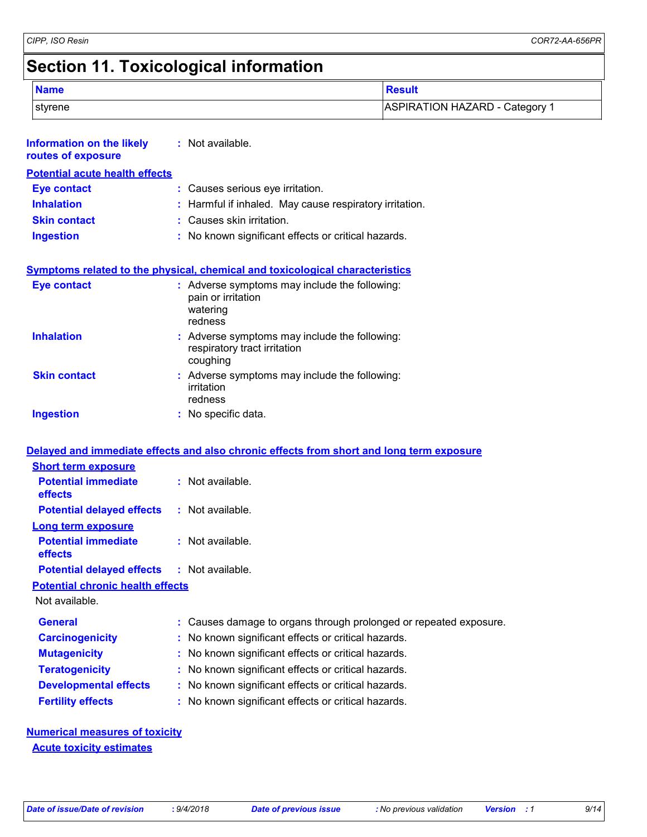*CIPP, ISO Resin COR72-AA-656PR*

# **Section 11. Toxicological information**

| <b>Name</b> | <b>Result</b>                |
|-------------|------------------------------|
| styrene     | ASPIRATION HAZARD - Category |

| Information on the likely<br>routes of exposure | : Not available.                                                                           |
|-------------------------------------------------|--------------------------------------------------------------------------------------------|
| <b>Potential acute health effects</b>           |                                                                                            |
| <b>Eye contact</b>                              | : Causes serious eye irritation.                                                           |
| <b>Inhalation</b>                               | : Harmful if inhaled. May cause respiratory irritation.                                    |
| <b>Skin contact</b>                             | : Causes skin irritation.                                                                  |
| <b>Ingestion</b>                                | : No known significant effects or critical hazards.                                        |
|                                                 | <b>Symptoms related to the physical, chemical and toxicological characteristics</b>        |
| <b>Eye contact</b>                              | : Adverse symptoms may include the following:<br>pain or irritation<br>watering<br>redness |
| <b>Inhalation</b>                               | : Adverse symptoms may include the following:<br>respiratory tract irritation<br>coughing  |
| <b>Skin contact</b>                             | : Adverse symptoms may include the following:<br>irritation<br>redness                     |
| <b>Ingestion</b>                                | : No specific data.                                                                        |
|                                                 | Delayed and immediate effects and also chronic effects from short and long term exposure   |
| <b>Short term exposure</b>                      |                                                                                            |

| Short term exposure                               |                                                                   |  |
|---------------------------------------------------|-------------------------------------------------------------------|--|
| <b>Potential immediate</b><br><b>effects</b>      | $:$ Not available.                                                |  |
| <b>Potential delayed effects</b>                  | : Not available.                                                  |  |
| Long term exposure                                |                                                                   |  |
| <b>Potential immediate</b><br><b>effects</b>      | : Not available.                                                  |  |
| <b>Potential delayed effects : Not available.</b> |                                                                   |  |
| <b>Potential chronic health effects</b>           |                                                                   |  |
| Not available.                                    |                                                                   |  |
| <b>General</b>                                    | : Causes damage to organs through prolonged or repeated exposure. |  |
| <b>Carcinogenicity</b>                            | : No known significant effects or critical hazards.               |  |
| <b>Mutagenicity</b>                               | : No known significant effects or critical hazards.               |  |
| <b>Teratogenicity</b>                             | : No known significant effects or critical hazards.               |  |
| <b>Developmental effects</b>                      | : No known significant effects or critical hazards.               |  |
| <b>Fertility effects</b>                          | : No known significant effects or critical hazards.               |  |

#### **Numerical measures of toxicity Acute toxicity estimates**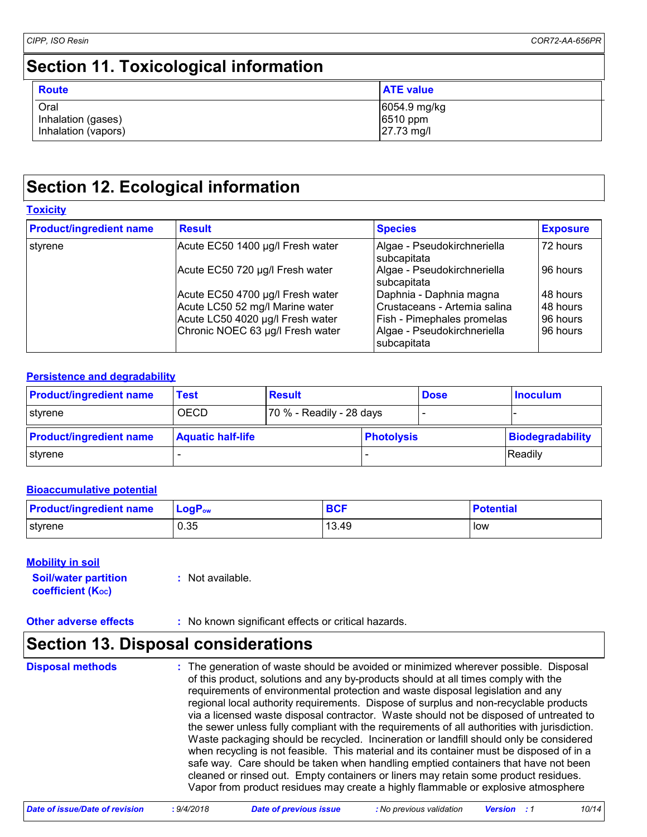# **Section 11. Toxicological information**

| <b>Route</b>                                      | <b>ATE value</b>                       |
|---------------------------------------------------|----------------------------------------|
| Oral<br>Inhalation (gases)<br>Inhalation (vapors) | 6054.9 mg/kg<br>6510 ppm<br>27.73 mg/l |

### **Section 12. Ecological information**

| <b>Product/ingredient name</b> | <b>Result</b>                    | <b>Species</b>                             | <b>Exposure</b> |
|--------------------------------|----------------------------------|--------------------------------------------|-----------------|
| styrene                        | Acute EC50 1400 µg/l Fresh water | Algae - Pseudokirchneriella<br>subcapitata | 72 hours        |
|                                | Acute EC50 720 µg/l Fresh water  | Algae - Pseudokirchneriella<br>subcapitata | 96 hours        |
|                                | Acute EC50 4700 µg/l Fresh water | Daphnia - Daphnia magna                    | 48 hours        |
|                                | Acute LC50 52 mg/l Marine water  | Crustaceans - Artemia salina               | 48 hours        |
|                                | Acute LC50 4020 µg/l Fresh water | <b>Fish - Pimephales promelas</b>          | 96 hours        |
|                                | Chronic NOEC 63 µg/l Fresh water | Algae - Pseudokirchneriella<br>subcapitata | 96 hours        |

#### **Persistence and degradability**

| <b>Product/ingredient name</b> | Test                     | <b>Result</b>            |                   | <b>Dose</b> | <b>Inoculum</b>  |
|--------------------------------|--------------------------|--------------------------|-------------------|-------------|------------------|
| styrene                        | <b>OECD</b>              | 70 % - Readily - 28 days |                   |             |                  |
| <b>Product/ingredient name</b> | <b>Aquatic half-life</b> |                          | <b>Photolysis</b> |             | Biodegradability |
| styrene                        |                          |                          |                   |             | Readily          |

#### **Bioaccumulative potential**

| <b>Product/ingredient name</b> | $LogP_{ow}$ | <b>BCF</b> | <b>Potential</b> |
|--------------------------------|-------------|------------|------------------|
| styrene                        | 0.35        | 13.49      | low              |

#### **Mobility in soil**

| <b>Soil/water partition</b> | : Not available. |
|-----------------------------|------------------|
| <b>coefficient (Koc)</b>    |                  |

**Other adverse effects** : No known significant effects or critical hazards.

### **Section 13. Disposal considerations**

**Disposal methods :**

The generation of waste should be avoided or minimized wherever possible. Disposal of this product, solutions and any by-products should at all times comply with the requirements of environmental protection and waste disposal legislation and any regional local authority requirements. Dispose of surplus and non-recyclable products via a licensed waste disposal contractor. Waste should not be disposed of untreated to the sewer unless fully compliant with the requirements of all authorities with jurisdiction. Waste packaging should be recycled. Incineration or landfill should only be considered when recycling is not feasible. This material and its container must be disposed of in a safe way. Care should be taken when handling emptied containers that have not been cleaned or rinsed out. Empty containers or liners may retain some product residues. Vapor from product residues may create a highly flammable or explosive atmosphere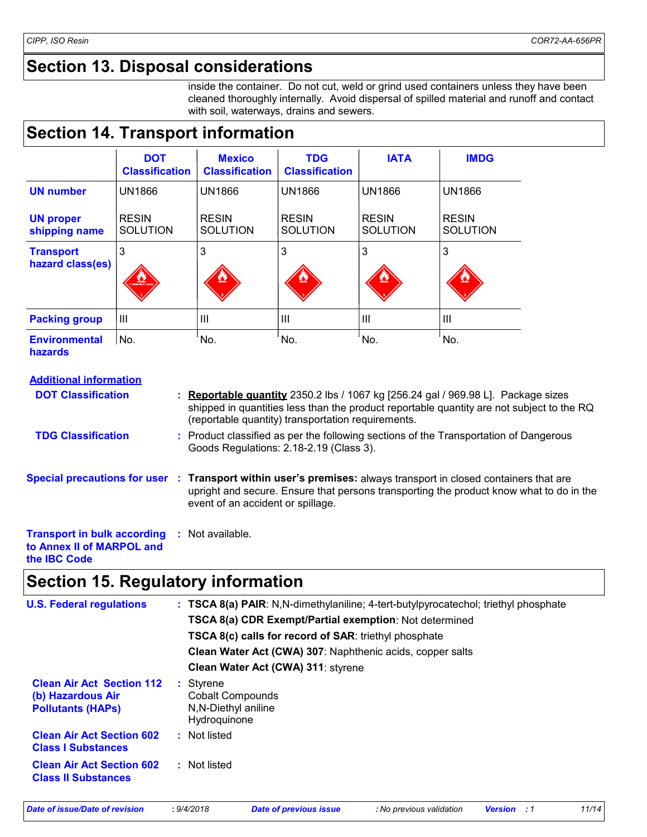# **Section 13. Disposal considerations**

inside the container. Do not cut, weld or grind used containers unless they have been cleaned thoroughly internally. Avoid dispersal of spilled material and runoff and contact with soil, waterways, drains and sewers.

### **Section 14. Transport information**

|                                        | <b>DOT</b><br><b>Classification</b> | <b>Mexico</b><br><b>Classification</b> | <b>TDG</b><br><b>Classification</b> | <b>IATA</b>                     | <b>IMDG</b>                     |
|----------------------------------------|-------------------------------------|----------------------------------------|-------------------------------------|---------------------------------|---------------------------------|
| <b>UN number</b>                       | <b>UN1866</b>                       | <b>UN1866</b>                          | <b>UN1866</b>                       | <b>UN1866</b>                   | <b>UN1866</b>                   |
| <b>UN proper</b><br>shipping name      | <b>RESIN</b><br><b>SOLUTION</b>     | <b>RESIN</b><br><b>SOLUTION</b>        | <b>RESIN</b><br><b>SOLUTION</b>     | <b>RESIN</b><br><b>SOLUTION</b> | <b>RESIN</b><br><b>SOLUTION</b> |
| <b>Transport</b><br>hazard class(es)   | 3<br><b>The Communist Communist</b> | 3                                      | 3                                   | 3                               | 3                               |
| <b>Packing group</b>                   | $\mathbf{III}$                      | III                                    | $\mathbf{III}$                      | $\mathbf{III}$                  | $\mathbf{III}$                  |
| <b>Environmental</b><br><b>hazards</b> | No.                                 | No.                                    | No.                                 | No.                             | No.                             |

#### **Additional information**

| <b>DOT Classification</b>                                                              |    | : Reportable quantity 2350.2 lbs / 1067 kg [256.24 gal / 969.98 L]. Package sizes<br>shipped in quantities less than the product reportable quantity are not subject to the RQ<br>(reportable quantity) transportation requirements.            |
|----------------------------------------------------------------------------------------|----|-------------------------------------------------------------------------------------------------------------------------------------------------------------------------------------------------------------------------------------------------|
| <b>TDG Classification</b>                                                              |    | : Product classified as per the following sections of the Transportation of Dangerous<br>Goods Regulations: 2.18-2.19 (Class 3).                                                                                                                |
|                                                                                        |    | Special precautions for user : Transport within user's premises: always transport in closed containers that are<br>upright and secure. Ensure that persons transporting the product know what to do in the<br>event of an accident or spillage. |
| <b>Transport in bulk according</b><br>to Annex II of MARPOL and<br>the <b>IBC</b> Code | Æ. | Not available.                                                                                                                                                                                                                                  |

# **Section 15. Regulatory information**

| <b>U.S. Federal regulations</b>                                | : TSCA 8(a) PAIR: N,N-dimethylaniline; 4-tert-butylpyrocatechol; triethyl phosphate<br><b>TSCA 8(a) CDR Exempt/Partial exemption: Not determined</b><br><b>TSCA 8(c) calls for record of SAR: triethyl phosphate</b><br>Clean Water Act (CWA) 307: Naphthenic acids, copper salts |
|----------------------------------------------------------------|-----------------------------------------------------------------------------------------------------------------------------------------------------------------------------------------------------------------------------------------------------------------------------------|
| <b>Clean Air Act Section 112</b>                               | Clean Water Act (CWA) 311: styrene<br>: Styrene                                                                                                                                                                                                                                   |
| (b) Hazardous Air<br><b>Pollutants (HAPS)</b>                  | <b>Cobalt Compounds</b><br>N, N-Diethyl aniline<br>Hydroquinone                                                                                                                                                                                                                   |
| <b>Clean Air Act Section 602</b><br><b>Class I Substances</b>  | : Not listed                                                                                                                                                                                                                                                                      |
| <b>Clean Air Act Section 602</b><br><b>Class II Substances</b> | : Not listed                                                                                                                                                                                                                                                                      |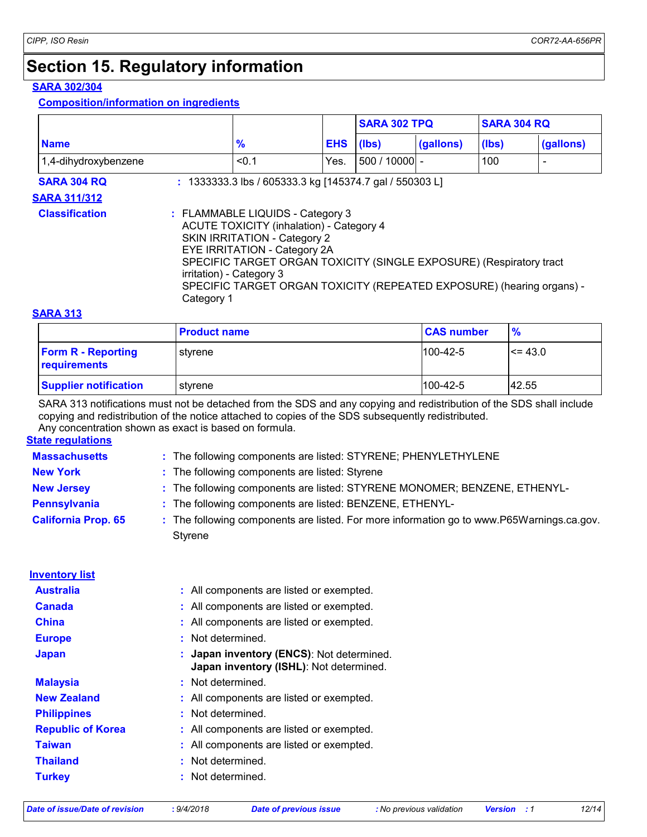# **Section 15. Regulatory information**

#### **SARA 302/304**

#### **Composition/information on ingredients**

|                       |                                                                                                                                                                                                                                                                                                                                               |                                                         |            | <b>SARA 302 TPQ</b> |           | <b>SARA 304 RQ</b> |           |
|-----------------------|-----------------------------------------------------------------------------------------------------------------------------------------------------------------------------------------------------------------------------------------------------------------------------------------------------------------------------------------------|---------------------------------------------------------|------------|---------------------|-----------|--------------------|-----------|
| <b>Name</b>           |                                                                                                                                                                                                                                                                                                                                               | $\frac{9}{6}$                                           | <b>EHS</b> | (Ibs)               | (gallons) | (lbs)              | (gallons) |
| 1,4-dihydroxybenzene  |                                                                                                                                                                                                                                                                                                                                               | < 0.1                                                   | Yes.       | $500/10000$ -       |           | 100                |           |
| <b>SARA 304 RQ</b>    |                                                                                                                                                                                                                                                                                                                                               | : 1333333.3 lbs / 605333.3 kg [145374.7 gal / 550303 L] |            |                     |           |                    |           |
| <b>SARA 311/312</b>   |                                                                                                                                                                                                                                                                                                                                               |                                                         |            |                     |           |                    |           |
| <b>Classification</b> | : FLAMMABLE LIQUIDS - Category 3<br><b>ACUTE TOXICITY (inhalation) - Category 4</b><br>SKIN IRRITATION - Category 2<br>EYE IRRITATION - Category 2A<br>SPECIFIC TARGET ORGAN TOXICITY (SINGLE EXPOSURE) (Respiratory tract<br>irritation) - Category 3<br>SPECIFIC TARGET ORGAN TOXICITY (REPEATED EXPOSURE) (hearing organs) -<br>Category 1 |                                                         |            |                     |           |                    |           |

#### **SARA 313**

|                                           | <b>Product name</b> | <b>CAS number</b> | $\frac{9}{6}$ |
|-------------------------------------------|---------------------|-------------------|---------------|
| <b>Form R - Reporting</b><br>requirements | styrene             | $1100 - 42 - 5$   | $\le$ = 43.0  |
| <b>Supplier notification</b>              | styrene             | $1100 - 42 - 5$   | 42.55         |

SARA 313 notifications must not be detached from the SDS and any copying and redistribution of the SDS shall include copying and redistribution of the notice attached to copies of the SDS subsequently redistributed.

**State regulations** Any concentration shown as exact is based on formula.

| <b>olale regulations</b>   |                                                                                                           |  |
|----------------------------|-----------------------------------------------------------------------------------------------------------|--|
| <b>Massachusetts</b>       | : The following components are listed: STYRENE; PHENYLETHYLENE                                            |  |
| <b>New York</b>            | : The following components are listed: Styrene                                                            |  |
| <b>New Jersey</b>          | : The following components are listed: STYRENE MONOMER; BENZENE, ETHENYL-                                 |  |
| <b>Pennsylvania</b>        | The following components are listed: BENZENE, ETHENYL-                                                    |  |
| <b>California Prop. 65</b> | The following components are listed. For more information go to www.P65Warnings.ca.gov.<br><b>Styrene</b> |  |
| <b>Inventory list</b>      |                                                                                                           |  |
| <b>Australia</b>           | : All components are listed or exempted.                                                                  |  |
| <b>Canada</b>              | : All components are listed or exempted.                                                                  |  |
| <b>China</b>               | : All components are listed or exempted.                                                                  |  |
| <b>Europe</b>              | Not determined.<br>÷.                                                                                     |  |
| <b>Japan</b>               | Japan inventory (ENCS): Not determined.<br>Japan inventory (ISHL): Not determined.                        |  |
| <b>Malaysia</b>            | : Not determined.                                                                                         |  |
| <b>New Zealand</b>         | : All components are listed or exempted.                                                                  |  |
| <b>Philippines</b>         | : Not determined.                                                                                         |  |
| <b>Republic of Korea</b>   | : All components are listed or exempted.                                                                  |  |
| <b>Taiwan</b>              | All components are listed or exempted.                                                                    |  |
| <b>Thailand</b>            | Not determined.<br>÷                                                                                      |  |

**Turkey :** Not determined.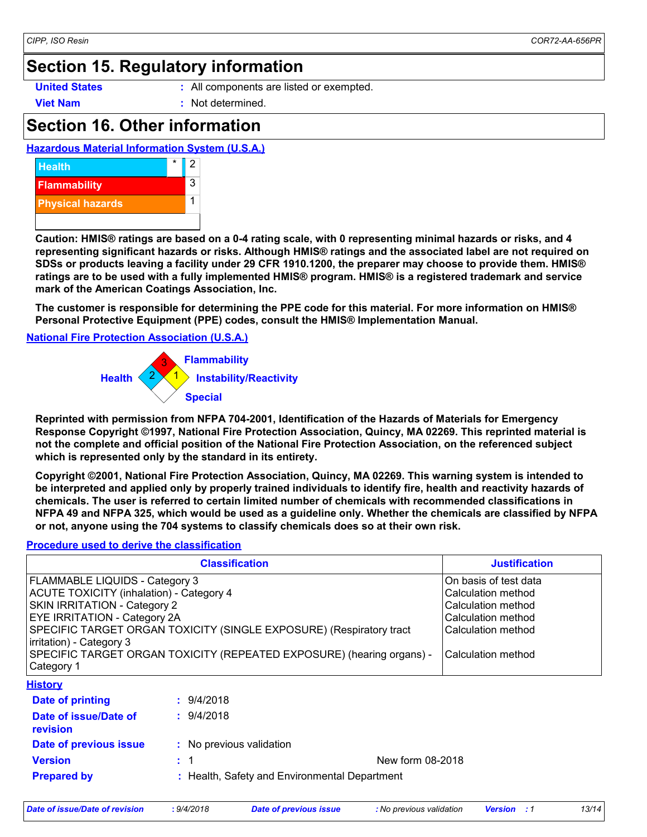### **Section 15. Regulatory information**

- **United States :** All components are listed or exempted.
- **Viet Nam :** Not determined.

### **Section 16. Other information**





**Caution: HMIS® ratings are based on a 0-4 rating scale, with 0 representing minimal hazards or risks, and 4 representing significant hazards or risks. Although HMIS® ratings and the associated label are not required on SDSs or products leaving a facility under 29 CFR 1910.1200, the preparer may choose to provide them. HMIS® ratings are to be used with a fully implemented HMIS® program. HMIS® is a registered trademark and service mark of the American Coatings Association, Inc.**

**The customer is responsible for determining the PPE code for this material. For more information on HMIS® Personal Protective Equipment (PPE) codes, consult the HMIS® Implementation Manual.**

**National Fire Protection Association (U.S.A.)**



**Reprinted with permission from NFPA 704-2001, Identification of the Hazards of Materials for Emergency Response Copyright ©1997, National Fire Protection Association, Quincy, MA 02269. This reprinted material is not the complete and official position of the National Fire Protection Association, on the referenced subject which is represented only by the standard in its entirety.**

**Copyright ©2001, National Fire Protection Association, Quincy, MA 02269. This warning system is intended to be interpreted and applied only by properly trained individuals to identify fire, health and reactivity hazards of chemicals. The user is referred to certain limited number of chemicals with recommended classifications in NFPA 49 and NFPA 325, which would be used as a guideline only. Whether the chemicals are classified by NFPA or not, anyone using the 704 systems to classify chemicals does so at their own risk.**

#### **Procedure used to derive the classification**

| <b>Classification</b>                                                                                                                                                                                                                                                                                                                       |                                               | <b>Justification</b>                                                                                                                |
|---------------------------------------------------------------------------------------------------------------------------------------------------------------------------------------------------------------------------------------------------------------------------------------------------------------------------------------------|-----------------------------------------------|-------------------------------------------------------------------------------------------------------------------------------------|
| FLAMMABLE LIQUIDS - Category 3<br>ACUTE TOXICITY (inhalation) - Category 4<br>SKIN IRRITATION - Category 2<br><b>EYE IRRITATION - Category 2A</b><br>SPECIFIC TARGET ORGAN TOXICITY (SINGLE EXPOSURE) (Respiratory tract<br>irritation) - Category 3<br>SPECIFIC TARGET ORGAN TOXICITY (REPEATED EXPOSURE) (hearing organs) -<br>Category 1 |                                               | On basis of test data<br>Calculation method<br>Calculation method<br>Calculation method<br>Calculation method<br>Calculation method |
| <b>History</b>                                                                                                                                                                                                                                                                                                                              |                                               |                                                                                                                                     |
| Date of printing                                                                                                                                                                                                                                                                                                                            | : 9/4/2018                                    |                                                                                                                                     |
| Date of issue/Date of<br>revision                                                                                                                                                                                                                                                                                                           | : 9/4/2018                                    |                                                                                                                                     |
| Date of previous issue                                                                                                                                                                                                                                                                                                                      | : No previous validation                      |                                                                                                                                     |
| <b>Version</b>                                                                                                                                                                                                                                                                                                                              | New form 08-2018<br>: 1                       |                                                                                                                                     |
| <b>Prepared by</b>                                                                                                                                                                                                                                                                                                                          | : Health, Safety and Environmental Department |                                                                                                                                     |